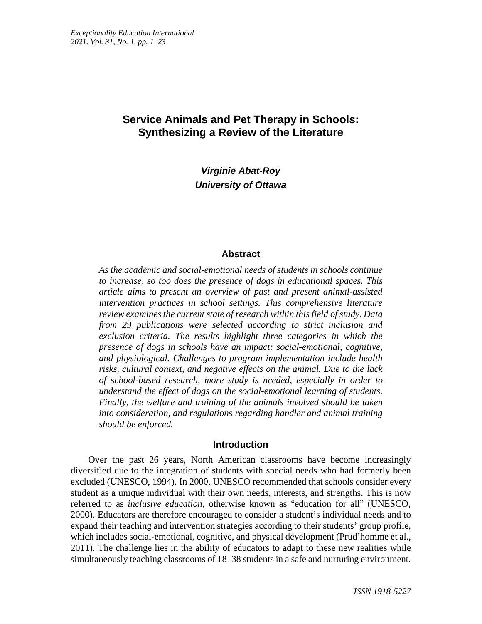# **Service Animals and Pet Therapy in Schools: Synthesizing a Review of the Literature**

*Virginie Abat-Roy University of Ottawa*

### **Abstract**

*As the academic and social-emotional needs of students in schools continue to increase, so too does the presence of dogs in educational spaces. This article aims to present an overview of past and present animal-assisted intervention practices in school settings. This comprehensive literature review examines the current state of research within this field of study. Data from 29 publications were selected according to strict inclusion and exclusion criteria. The results highlight three categories in which the presence of dogs in schools have an impact: social-emotional, cognitive, and physiological. Challenges to program implementation include health risks, cultural context, and negative effects on the animal. Due to the lack of school-based research, more study is needed, especially in order to understand the effect of dogs on the social-emotional learning of students. Finally, the welfare and training of the animals involved should be taken into consideration, and regulations regarding handler and animal training should be enforced.*

### **Introduction**

Over the past 26 years, North American classrooms have become increasingly diversified due to the integration of students with special needs who had formerly been excluded (UNESCO, 1994). In 2000, UNESCO recommended that schools consider every student as a unique individual with their own needs, interests, and strengths. This is now referred to as *inclusive education*, otherwise known as "education for all" (UNESCO, 2000). Educators are therefore encouraged to consider a student's individual needs and to expand their teaching and intervention strategies according to their students' group profile, which includes social-emotional, cognitive, and physical development (Prud'homme et al., 2011). The challenge lies in the ability of educators to adapt to these new realities while simultaneously teaching classrooms of 18–38 students in a safe and nurturing environment.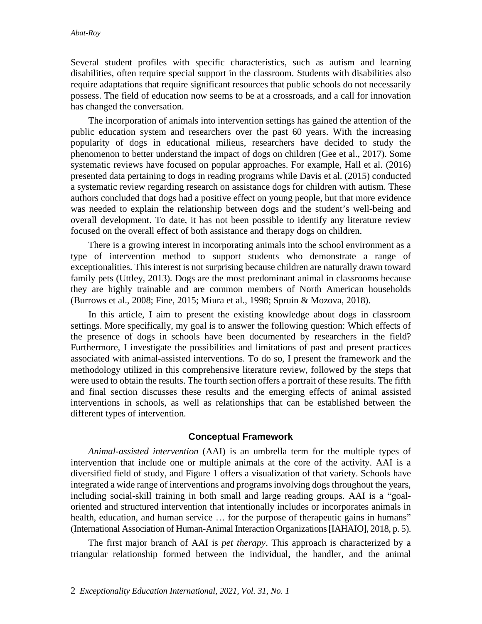Several student profiles with specific characteristics, such as autism and learning disabilities, often require special support in the classroom. Students with disabilities also require adaptations that require significant resources that public schools do not necessarily possess. The field of education now seems to be at a crossroads, and a call for innovation has changed the conversation.

The incorporation of animals into intervention settings has gained the attention of the public education system and researchers over the past 60 years. With the increasing popularity of dogs in educational milieus, researchers have decided to study the phenomenon to better understand the impact of dogs on children (Gee et al., 2017). Some systematic reviews have focused on popular approaches. For example, Hall et al. (2016) presented data pertaining to dogs in reading programs while Davis et al. (2015) conducted a systematic review regarding research on assistance dogs for children with autism. These authors concluded that dogs had a positive effect on young people, but that more evidence was needed to explain the relationship between dogs and the student's well-being and overall development. To date, it has not been possible to identify any literature review focused on the overall effect of both assistance and therapy dogs on children.

There is a growing interest in incorporating animals into the school environment as a type of intervention method to support students who demonstrate a range of exceptionalities. This interest is not surprising because children are naturally drawn toward family pets (Uttley, 2013). Dogs are the most predominant animal in classrooms because they are highly trainable and are common members of North American households (Burrows et al., 2008; Fine, 2015; Miura et al., 1998; Spruin & Mozova, 2018).

In this article, I aim to present the existing knowledge about dogs in classroom settings. More specifically, my goal is to answer the following question: Which effects of the presence of dogs in schools have been documented by researchers in the field? Furthermore, I investigate the possibilities and limitations of past and present practices associated with animal-assisted interventions. To do so, I present the framework and the methodology utilized in this comprehensive literature review, followed by the steps that were used to obtain the results. The fourth section offers a portrait of these results. The fifth and final section discusses these results and the emerging effects of animal assisted interventions in schools, as well as relationships that can be established between the different types of intervention.

### **Conceptual Framework**

*Animal-assisted intervention* (AAI) is an umbrella term for the multiple types of intervention that include one or multiple animals at the core of the activity. AAI is a diversified field of study, and Figure 1 offers a visualization of that variety. Schools have integrated a wide range of interventions and programs involving dogs throughout the years, including social-skill training in both small and large reading groups. AAI is a "goaloriented and structured intervention that intentionally includes or incorporates animals in health, education, and human service ... for the purpose of therapeutic gains in humans" (International Association of Human-Animal Interaction Organizations[IAHAIO], 2018, p. 5).

The first major branch of AAI is *pet therapy*. This approach is characterized by a triangular relationship formed between the individual, the handler, and the animal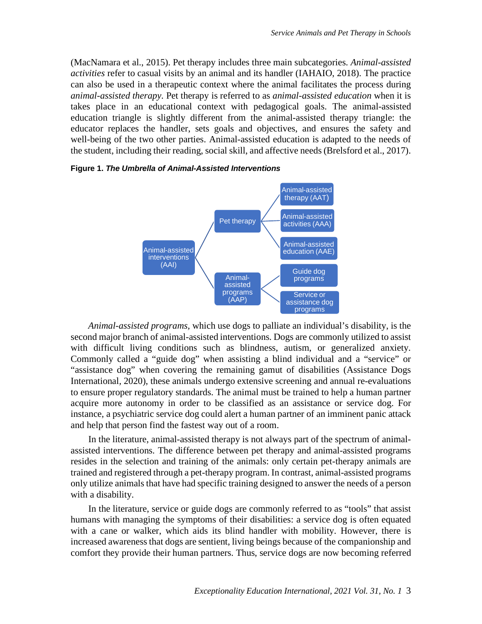(MacNamara et al., 2015). Pet therapy includes three main subcategories. *Animal-assisted activities* refer to casual visits by an animal and its handler (IAHAIO, 2018). The practice can also be used in a therapeutic context where the animal facilitates the process during *animal-assisted therapy*. Pet therapy is referred to as *animal-assisted education* when it is takes place in an educational context with pedagogical goals. The animal-assisted education triangle is slightly different from the animal-assisted therapy triangle: the educator replaces the handler, sets goals and objectives, and ensures the safety and well-being of the two other parties. Animal-assisted education is adapted to the needs of the student, including their reading, social skill, and affective needs (Brelsford et al., 2017).



#### **Figure 1.** *The Umbrella of Animal-Assisted Interventions*

*Animal-assisted programs,* which use dogs to palliate an individual's disability, is the second major branch of animal-assisted interventions. Dogs are commonly utilized to assist with difficult living conditions such as blindness, autism, or generalized anxiety. Commonly called a "guide dog" when assisting a blind individual and a "service" or "assistance dog" when covering the remaining gamut of disabilities (Assistance Dogs International*,* 2020), these animals undergo extensive screening and annual re-evaluations to ensure proper regulatory standards. The animal must be trained to help a human partner acquire more autonomy in order to be classified as an assistance or service dog. For instance, a psychiatric service dog could alert a human partner of an imminent panic attack and help that person find the fastest way out of a room.

In the literature, animal-assisted therapy is not always part of the spectrum of animalassisted interventions. The difference between pet therapy and animal-assisted programs resides in the selection and training of the animals: only certain pet-therapy animals are trained and registered through a pet-therapy program. In contrast, animal-assisted programs only utilize animals that have had specific training designed to answer the needs of a person with a disability.

In the literature, service or guide dogs are commonly referred to as "tools" that assist humans with managing the symptoms of their disabilities: a service dog is often equated with a cane or walker, which aids its blind handler with mobility. However, there is increased awareness that dogs are sentient, living beings because of the companionship and comfort they provide their human partners. Thus, service dogs are now becoming referred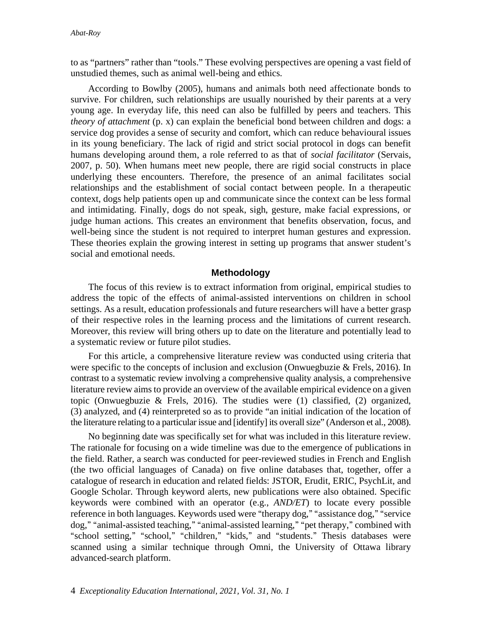to as "partners" rather than "tools." These evolving perspectives are opening a vast field of unstudied themes, such as animal well-being and ethics.

According to Bowlby (2005), humans and animals both need affectionate bonds to survive. For children, such relationships are usually nourished by their parents at a very young age. In everyday life, this need can also be fulfilled by peers and teachers. This *theory of attachment* (p. x) can explain the beneficial bond between children and dogs: a service dog provides a sense of security and comfort, which can reduce behavioural issues in its young beneficiary. The lack of rigid and strict social protocol in dogs can benefit humans developing around them, a role referred to as that of *social facilitator* (Servais, 2007, p. 50). When humans meet new people, there are rigid social constructs in place underlying these encounters. Therefore, the presence of an animal facilitates social relationships and the establishment of social contact between people. In a therapeutic context, dogs help patients open up and communicate since the context can be less formal and intimidating. Finally, dogs do not speak, sigh, gesture, make facial expressions, or judge human actions. This creates an environment that benefits observation, focus, and well-being since the student is not required to interpret human gestures and expression. These theories explain the growing interest in setting up programs that answer student's social and emotional needs.

# **Methodology**

The focus of this review is to extract information from original, empirical studies to address the topic of the effects of animal-assisted interventions on children in school settings. As a result, education professionals and future researchers will have a better grasp of their respective roles in the learning process and the limitations of current research. Moreover, this review will bring others up to date on the literature and potentially lead to a systematic review or future pilot studies.

For this article, a comprehensive literature review was conducted using criteria that were specific to the concepts of inclusion and exclusion (Onwuegbuzie & Frels, 2016). In contrast to a systematic review involving a comprehensive quality analysis, a comprehensive literature review aims to provide an overview of the available empirical evidence on a given topic (Onwuegbuzie & Frels, 2016). The studies were (1) classified, (2) organized, (3) analyzed, and (4) reinterpreted so as to provide "an initial indication of the location of the literature relating to a particular issue and [identify] its overall size" (Anderson et al., 2008).

No beginning date was specifically set for what was included in this literature review. The rationale for focusing on a wide timeline was due to the emergence of publications in the field. Rather, a search was conducted for peer-reviewed studies in French and English (the two official languages of Canada) on five online databases that, together, offer a catalogue of research in education and related fields: JSTOR, Erudit, ERIC, PsychLit, and Google Scholar. Through keyword alerts, new publications were also obtained. Specific keywords were combined with an operator (e.g., *AND/ET*) to locate every possible reference in both languages. Keywords used were "therapy dog," "assistance dog," "service dog," "animal-assisted teaching," "animal-assisted learning," "pet therapy," combined with "school setting," "school," "children," "kids," and "students." Thesis databases were scanned using a similar technique through Omni, the University of Ottawa library advanced-search platform.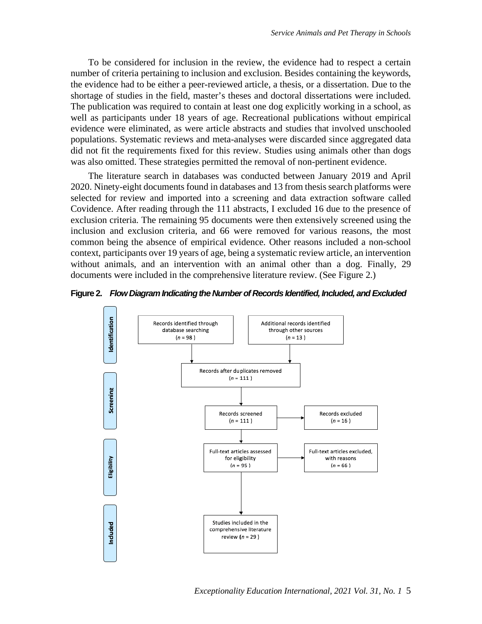To be considered for inclusion in the review, the evidence had to respect a certain number of criteria pertaining to inclusion and exclusion. Besides containing the keywords, the evidence had to be either a peer-reviewed article, a thesis, or a dissertation. Due to the shortage of studies in the field, master's theses and doctoral dissertations were included. The publication was required to contain at least one dog explicitly working in a school, as well as participants under 18 years of age. Recreational publications without empirical evidence were eliminated, as were article abstracts and studies that involved unschooled populations. Systematic reviews and meta-analyses were discarded since aggregated data did not fit the requirements fixed for this review. Studies using animals other than dogs was also omitted. These strategies permitted the removal of non-pertinent evidence.

The literature search in databases was conducted between January 2019 and April 2020. Ninety-eight documents found in databases and 13 from thesis search platforms were selected for review and imported into a screening and data extraction software called Covidence. After reading through the 111 abstracts, I excluded 16 due to the presence of exclusion criteria. The remaining 95 documents were then extensively screened using the inclusion and exclusion criteria, and 66 were removed for various reasons, the most common being the absence of empirical evidence. Other reasons included a non-school context, participants over 19 years of age, being a systematic review article, an intervention without animals, and an intervention with an animal other than a dog. Finally, 29 documents were included in the comprehensive literature review. (See Figure 2.)





*Exceptionality Education International, 2021 Vol. 31, No. 1* 5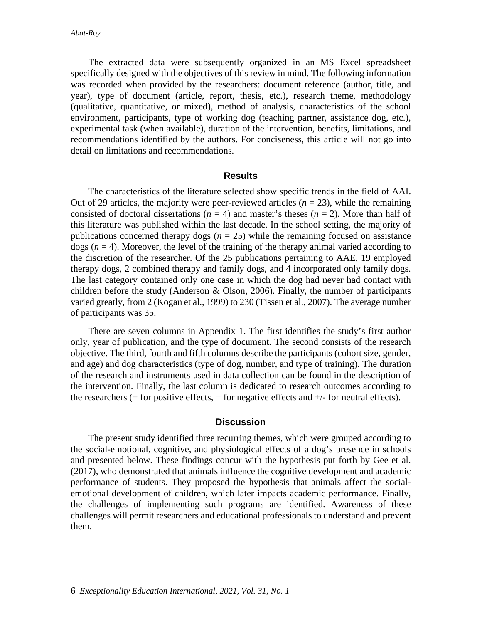The extracted data were subsequently organized in an MS Excel spreadsheet specifically designed with the objectives of this review in mind. The following information was recorded when provided by the researchers: document reference (author, title, and year), type of document (article, report, thesis, etc.), research theme, methodology (qualitative, quantitative, or mixed), method of analysis, characteristics of the school environment, participants, type of working dog (teaching partner, assistance dog, etc.), experimental task (when available), duration of the intervention, benefits, limitations, and recommendations identified by the authors. For conciseness, this article will not go into detail on limitations and recommendations.

#### **Results**

The characteristics of the literature selected show specific trends in the field of AAI. Out of 29 articles, the majority were peer-reviewed articles  $(n = 23)$ , while the remaining consisted of doctoral dissertations ( $n = 4$ ) and master's theses ( $n = 2$ ). More than half of this literature was published within the last decade. In the school setting, the majority of publications concerned therapy dogs  $(n = 25)$  while the remaining focused on assistance dogs  $(n = 4)$ . Moreover, the level of the training of the therapy animal varied according to the discretion of the researcher. Of the 25 publications pertaining to AAE, 19 employed therapy dogs, 2 combined therapy and family dogs, and 4 incorporated only family dogs. The last category contained only one case in which the dog had never had contact with children before the study (Anderson  $&$  Olson, 2006). Finally, the number of participants varied greatly, from 2 (Kogan et al., 1999) to 230 (Tissen et al., 2007). The average number of participants was 35.

There are seven columns in Appendix 1. The first identifies the study's first author only, year of publication, and the type of document. The second consists of the research objective. The third, fourth and fifth columns describe the participants (cohort size, gender, and age) and dog characteristics (type of dog, number, and type of training). The duration of the research and instruments used in data collection can be found in the description of the intervention. Finally, the last column is dedicated to research outcomes according to the researchers  $(+$  for positive effects,  $-$  for negative effects and  $+/-$  for neutral effects).

#### **Discussion**

The present study identified three recurring themes, which were grouped according to the social-emotional, cognitive, and physiological effects of a dog's presence in schools and presented below. These findings concur with the hypothesis put forth by Gee et al. (2017), who demonstrated that animals influence the cognitive development and academic performance of students. They proposed the hypothesis that animals affect the socialemotional development of children, which later impacts academic performance. Finally, the challenges of implementing such programs are identified. Awareness of these challenges will permit researchers and educational professionals to understand and prevent them.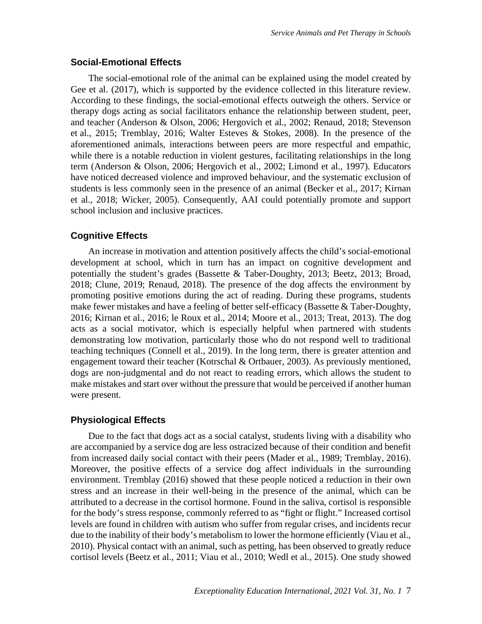## **Social-Emotional Effects**

The social-emotional role of the animal can be explained using the model created by Gee et al. (2017), which is supported by the evidence collected in this literature review. According to these findings, the social-emotional effects outweigh the others. Service or therapy dogs acting as social facilitators enhance the relationship between student, peer, and teacher (Anderson & Olson, 2006; Hergovich et al., 2002; Renaud, 2018; Stevenson et al., 2015; Tremblay, 2016; Walter Esteves & Stokes, 2008). In the presence of the aforementioned animals, interactions between peers are more respectful and empathic, while there is a notable reduction in violent gestures, facilitating relationships in the long term (Anderson & Olson, 2006; Hergovich et al., 2002; Limond et al., 1997). Educators have noticed decreased violence and improved behaviour, and the systematic exclusion of students is less commonly seen in the presence of an animal (Becker et al., 2017; Kirnan et al., 2018; Wicker, 2005). Consequently, AAI could potentially promote and support school inclusion and inclusive practices.

# **Cognitive Effects**

An increase in motivation and attention positively affects the child's social-emotional development at school, which in turn has an impact on cognitive development and potentially the student's grades (Bassette & Taber-Doughty, 2013; Beetz, 2013; Broad, 2018; Clune, 2019; Renaud, 2018). The presence of the dog affects the environment by promoting positive emotions during the act of reading. During these programs, students make fewer mistakes and have a feeling of better self-efficacy (Bassette & Taber-Doughty, 2016; Kirnan et al., 2016; le Roux et al., 2014; Moore et al., 2013; Treat, 2013). The dog acts as a social motivator, which is especially helpful when partnered with students demonstrating low motivation, particularly those who do not respond well to traditional teaching techniques (Connell et al., 2019). In the long term, there is greater attention and engagement toward their teacher (Kotrschal & Ortbauer, 2003). As previously mentioned, dogs are non-judgmental and do not react to reading errors, which allows the student to make mistakes and start over without the pressure that would be perceived if another human were present.

# **Physiological Effects**

Due to the fact that dogs act as a social catalyst, students living with a disability who are accompanied by a service dog are less ostracized because of their condition and benefit from increased daily social contact with their peers (Mader et al., 1989; Tremblay, 2016). Moreover, the positive effects of a service dog affect individuals in the surrounding environment. Tremblay (2016) showed that these people noticed a reduction in their own stress and an increase in their well-being in the presence of the animal, which can be attributed to a decrease in the cortisol hormone. Found in the saliva, cortisol is responsible for the body's stress response, commonly referred to as "fight or flight." Increased cortisol levels are found in children with autism who suffer from regular crises, and incidents recur due to the inability of their body's metabolism to lower the hormone efficiently (Viau et al., 2010). Physical contact with an animal, such as petting, has been observed to greatly reduce cortisol levels (Beetz et al., 2011; Viau et al., 2010; Wedl et al., 2015). One study showed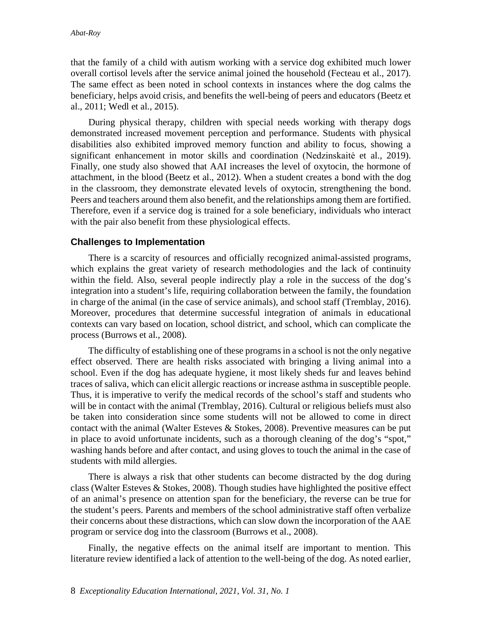that the family of a child with autism working with a service dog exhibited much lower overall cortisol levels after the service animal joined the household (Fecteau et al., 2017). The same effect as been noted in school contexts in instances where the dog calms the beneficiary, helps avoid crisis, and benefits the well-being of peers and educators (Beetz et al., 2011; Wedl et al., 2015).

During physical therapy, children with special needs working with therapy dogs demonstrated increased movement perception and performance. Students with physical disabilities also exhibited improved memory function and ability to focus, showing a significant enhancement in motor skills and coordination (Nedzinskaitė et al., 2019). Finally, one study also showed that AAI increases the level of oxytocin, the hormone of attachment, in the blood (Beetz et al., 2012). When a student creates a bond with the dog in the classroom, they demonstrate elevated levels of oxytocin, strengthening the bond. Peers and teachers around them also benefit, and the relationships among them are fortified. Therefore, even if a service dog is trained for a sole beneficiary, individuals who interact with the pair also benefit from these physiological effects.

# **Challenges to Implementation**

There is a scarcity of resources and officially recognized animal-assisted programs, which explains the great variety of research methodologies and the lack of continuity within the field. Also, several people indirectly play a role in the success of the dog's integration into a student's life, requiring collaboration between the family, the foundation in charge of the animal (in the case of service animals), and school staff (Tremblay, 2016). Moreover, procedures that determine successful integration of animals in educational contexts can vary based on location, school district, and school, which can complicate the process (Burrows et al., 2008).

The difficulty of establishing one of these programsin a school is not the only negative effect observed. There are health risks associated with bringing a living animal into a school. Even if the dog has adequate hygiene, it most likely sheds fur and leaves behind traces of saliva, which can elicit allergic reactions or increase asthma in susceptible people. Thus, it is imperative to verify the medical records of the school's staff and students who will be in contact with the animal (Tremblay, 2016). Cultural or religious beliefs must also be taken into consideration since some students will not be allowed to come in direct contact with the animal (Walter Esteves & Stokes, 2008). Preventive measures can be put in place to avoid unfortunate incidents, such as a thorough cleaning of the dog's "spot," washing hands before and after contact, and using gloves to touch the animal in the case of students with mild allergies.

There is always a risk that other students can become distracted by the dog during class (Walter Esteves  $\&$  Stokes, 2008). Though studies have highlighted the positive effect of an animal's presence on attention span for the beneficiary, the reverse can be true for the student's peers. Parents and members of the school administrative staff often verbalize their concerns about these distractions, which can slow down the incorporation of the AAE program or service dog into the classroom (Burrows et al., 2008).

Finally, the negative effects on the animal itself are important to mention. This literature review identified a lack of attention to the well-being of the dog. As noted earlier,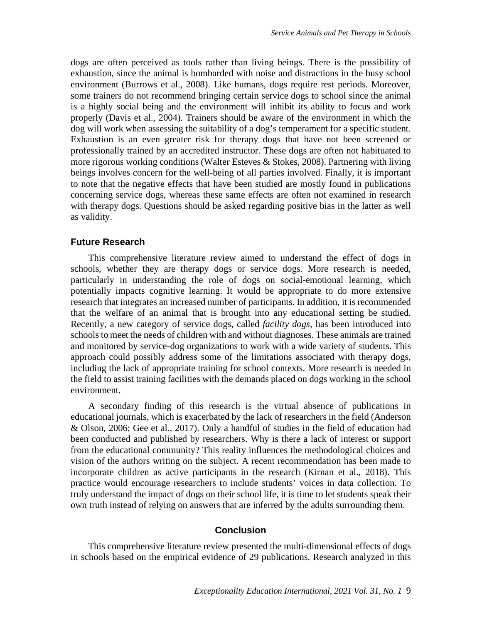dogs are often perceived as tools rather than living beings. There is the possibility of exhaustion, since the animal is bombarded with noise and distractions in the busy school environment (Burrows et al., 2008). Like humans, dogs require rest periods. Moreover, some trainers do not recommend bringing certain service dogs to school since the animal is a highly social being and the environment will inhibit its ability to focus and work properly (Davis et al., 2004). Trainers should be aware of the environment in which the dog will work when assessing the suitability of a dog's temperament for a specific student. Exhaustion is an even greater risk for therapy dogs that have not been screened or professionally trained by an accredited instructor. These dogs are often not habituated to more rigorous working conditions (Walter Esteves & Stokes, 2008). Partnering with living beings involves concern for the well-being of all parties involved. Finally, it is important to note that the negative effects that have been studied are mostly found in publications concerning service dogs, whereas these same effects are often not examined in research with therapy dogs. Questions should be asked regarding positive bias in the latter as well as validity.

### **Future Research**

This comprehensive literature review aimed to understand the effect of dogs in schools, whether they are therapy dogs or service dogs. More research is needed, particularly in understanding the role of dogs on social-emotional learning, which potentially impacts cognitive learning. It would be appropriate to do more extensive research that integrates an increased number of participants. In addition, it is recommended that the welfare of an animal that is brought into any educational setting be studied. Recently, a new category of service dogs, called *facility dogs*, has been introduced into schools to meet the needs of children with and without diagnoses. These animals are trained and monitored by service-dog organizations to work with a wide variety of students. This approach could possibly address some of the limitations associated with therapy dogs, including the lack of appropriate training for school contexts. More research is needed in the field to assist training facilities with the demands placed on dogs working in the school environment.

A secondary finding of this research is the virtual absence of publications in educational journals, which is exacerbated by the lack of researchers in the field (Anderson & Olson, 2006; Gee et al., 2017). Only a handful of studies in the field of education had been conducted and published by researchers. Why is there a lack of interest or support from the educational community? This reality influences the methodological choices and vision of the authors writing on the subject. A recent recommendation has been made to incorporate children as active participants in the research (Kirnan et al., 2018). This practice would encourage researchers to include students' voices in data collection. To truly understand the impact of dogs on their school life, it is time to let students speak their own truth instead of relying on answers that are inferred by the adults surrounding them.

### **Conclusion**

This comprehensive literature review presented the multi-dimensional effects of dogs in schools based on the empirical evidence of 29 publications. Research analyzed in this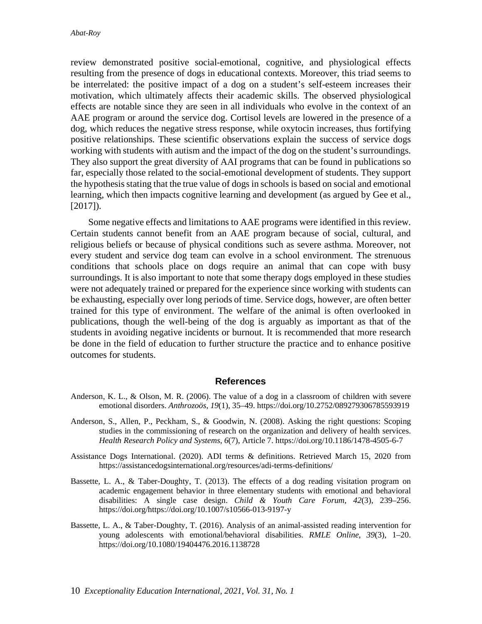review demonstrated positive social-emotional, cognitive, and physiological effects resulting from the presence of dogs in educational contexts. Moreover, this triad seems to be interrelated: the positive impact of a dog on a student's self-esteem increases their motivation, which ultimately affects their academic skills. The observed physiological effects are notable since they are seen in all individuals who evolve in the context of an AAE program or around the service dog. Cortisol levels are lowered in the presence of a dog, which reduces the negative stress response, while oxytocin increases, thus fortifying positive relationships. These scientific observations explain the success of service dogs working with students with autism and the impact of the dog on the student's surroundings. They also support the great diversity of AAI programs that can be found in publications so far, especially those related to the social-emotional development of students. They support the hypothesis stating that the true value of dogs in schools is based on social and emotional learning, which then impacts cognitive learning and development (as argued by Gee et al.,  $[2017]$ .

Some negative effects and limitations to AAE programs were identified in this review. Certain students cannot benefit from an AAE program because of social, cultural, and religious beliefs or because of physical conditions such as severe asthma. Moreover, not every student and service dog team can evolve in a school environment. The strenuous conditions that schools place on dogs require an animal that can cope with busy surroundings. It is also important to note that some therapy dogs employed in these studies were not adequately trained or prepared for the experience since working with students can be exhausting, especially over long periods of time. Service dogs, however, are often better trained for this type of environment. The welfare of the animal is often overlooked in publications, though the well-being of the dog is arguably as important as that of the students in avoiding negative incidents or burnout. It is recommended that more research be done in the field of education to further structure the practice and to enhance positive outcomes for students.

### **References**

- Anderson, K. L., & Olson, M. R. (2006). The value of a dog in a classroom of children with severe emotional disorders. *Anthrozoös*, *19*(1), 35–49. https://doi.org/10.2752/089279306785593919
- Anderson, S., Allen, P., Peckham, S., & Goodwin, N. (2008). Asking the right questions: Scoping studies in the commissioning of research on the organization and delivery of health services. *Health Research Policy and Systems, 6*(7), Article 7. https://doi.org/10.1186/1478-4505-6-7
- Assistance Dogs International. (2020). ADI terms & definitions. Retrieved March 15, 2020 from https://assistancedogsinternational.org/resources/adi-terms-definitions/
- Bassette, L. A., & Taber-Doughty, T. (2013). The effects of a dog reading visitation program on academic engagement behavior in three elementary students with emotional and behavioral disabilities: A single case design. *Child & Youth Care Forum*, *42*(3), 239–256. https://doi.org/https://doi.org/10.1007/s10566-013-9197-y
- Bassette, L. A., & Taber-Doughty, T. (2016). Analysis of an animal-assisted reading intervention for young adolescents with emotional/behavioral disabilities. *RMLE Online*, *39*(3), 1–20. https://doi.org/10.1080/19404476.2016.1138728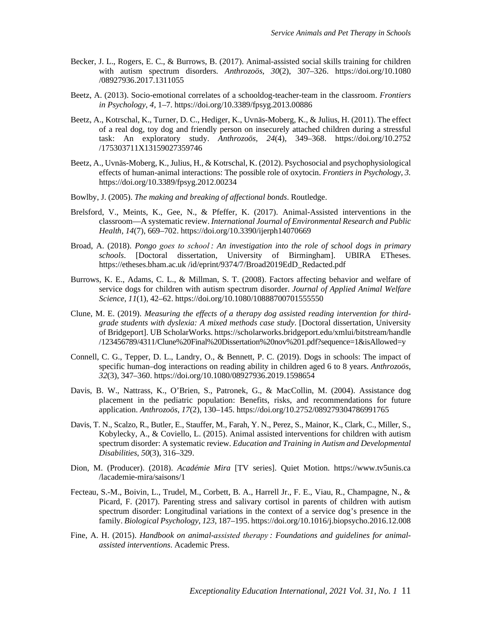- Becker, J. L., Rogers, E. C., & Burrows, B. (2017). Animal-assisted social skills training for children with autism spectrum disorders. *Anthrozoös*, *30*(2), 307–326. https://doi.org/10.1080 /08927936.2017.1311055
- Beetz, A. (2013). Socio-emotional correlates of a schooldog-teacher-team in the classroom. *Frontiers in Psychology*, *4*, 1–7. https://doi.org/10.3389/fpsyg.2013.00886
- Beetz, A., Kotrschal, K., Turner, D. C., Hediger, K., Uvnäs-Moberg, K., & Julius, H. (2011). The effect of a real dog, toy dog and friendly person on insecurely attached children during a stressful task: An exploratory study. *Anthrozoös, 24*(4), 349–368. https://doi.org/10.2752 /175303711X13159027359746
- Beetz, A., Uvnäs-Moberg, K., Julius, H., & Kotrschal, K. (2012). Psychosocial and psychophysiological effects of human-animal interactions: The possible role of oxytocin. *Frontiers in Psychology*, *3.* https://doi.org/10.3389/fpsyg.2012.00234
- Bowlby, J. (2005). *The making and breaking of affectional bonds*. Routledge.
- Brelsford, V., Meints, K., Gee, N., & Pfeffer, K. (2017). Animal-Assisted interventions in the classroom—A systematic review. *International Journal of Environmental Research and Public Health, 14*(7), 669–702. https://doi.org/10.3390/ijerph14070669
- Broad, A. (2018). *Pongo goes to school : An investigation into the role of school dogs in primary schools*. [Doctoral dissertation, University of Birmingham]. UBIRA ETheses. https://etheses.bham.ac.uk /id/eprint/9374/7/Broad2019EdD\_Redacted.pdf
- Burrows, K. E., Adams, C. L., & Millman, S. T. (2008). Factors affecting behavior and welfare of service dogs for children with autism spectrum disorder. *Journal of Applied Animal Welfare Science*, *11*(1), 42–62. https://doi.org/10.1080/10888700701555550
- Clune, M. E. (2019). *Measuring the effects of a therapy dog assisted reading intervention for thirdgrade students with dyslexia: A mixed methods case study*. [Doctoral dissertation, University of Bridgeport]. UB ScholarWorks. https://scholarworks.bridgeport.edu/xmlui/bitstream/handle /123456789/4311/Clune%20Final%20Dissertation%20nov%201.pdf?sequence=1&isAllowed=y
- Connell, C. G., Tepper, D. L., Landry, O., & Bennett, P. C. (2019). Dogs in schools: The impact of specific human–dog interactions on reading ability in children aged 6 to 8 years. *Anthrozoös*, *32*(3), 347–360. https://doi.org/10.1080/08927936.2019.1598654
- Davis, B. W., Nattrass, K., O'Brien, S., Patronek, G., & MacCollin, M. (2004). Assistance dog placement in the pediatric population: Benefits, risks, and recommendations for future application. *Anthrozoös*, *17*(2), 130–145. https://doi.org/10.2752/089279304786991765
- Davis, T. N., Scalzo, R., Butler, E., Stauffer, M., Farah, Y. N., Perez, S., Mainor, K., Clark, C., Miller, S., Kobylecky, A., & Coviello, L. (2015). Animal assisted interventions for children with autism spectrum disorder: A systematic review. *Education and Training in Autism and Developmental Disabilities*, *50*(3), 316–329.
- Dion, M. (Producer). (2018). *Académie Mira* [TV series]. Quiet Motion. https://www.tv5unis.ca /lacademie-mira/saisons/1
- Fecteau, S.-M., Boivin, L., Trudel, M., Corbett, B. A., Harrell Jr., F. E., Viau, R., Champagne, N., & Picard, F. (2017). Parenting stress and salivary cortisol in parents of children with autism spectrum disorder: Longitudinal variations in the context of a service dog's presence in the family. *Biological Psychology*, *123*, 187–195. https://doi.org/10.1016/j.biopsycho.2016.12.008
- Fine, A. H. (2015). *Handbook on animal-assisted therapy : Foundations and guidelines for animalassisted interventions*. Academic Press.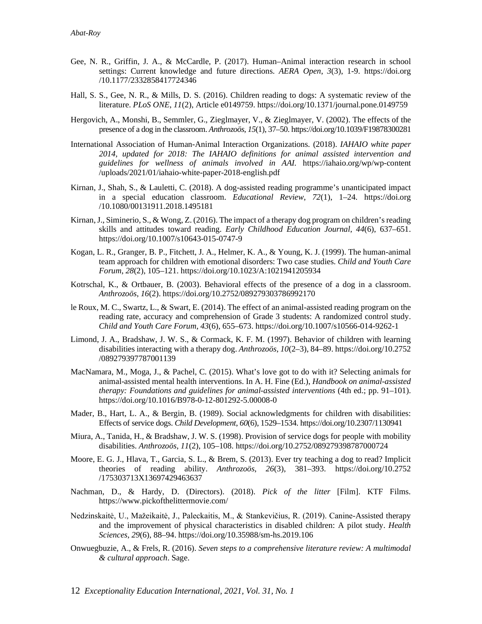- Gee, N. R., Griffin, J. A., & McCardle, P. (2017). Human–Animal interaction research in school settings: Current knowledge and future directions. *AERA Open*, *3*(3), 1-9. https://doi.org /10.1177/2332858417724346
- Hall, S. S., Gee, N. R., & Mills, D. S. (2016). Children reading to dogs: A systematic review of the literature. *PLoS ONE*, *11*(2), Article e0149759. https://doi.org/10.1371/journal.pone.0149759
- Hergovich, A., Monshi, B., Semmler, G., Zieglmayer, V., & Zieglmayer, V. (2002). The effects of the presence of a dog in the classroom. *Anthrozoös*, *15*(1), 37–50. https://doi.org/10.1039/F19878300281
- International Association of Human-Animal Interaction Organizations. (2018). *IAHAIO white paper 2014, updated for 2018: The IAHAIO definitions for animal assisted intervention and guidelines for wellness of animals involved in AAI.* https://iahaio.org/wp/wp-content /uploads/2021/01/iahaio-white-paper-2018-english.pdf
- Kirnan, J., Shah, S., & Lauletti, C. (2018). A dog-assisted reading programme's unanticipated impact in a special education classroom. *Educational Review*, *72*(1), 1–24. https://doi.org /10.1080/00131911.2018.1495181
- Kirnan, J., Siminerio, S., & Wong, Z. (2016). The impact of a therapy dog program on children's reading skills and attitudes toward reading. *Early Childhood Education Journal*, *44*(6), 637–651. https://doi.org/10.1007/s10643-015-0747-9
- Kogan, L. R., Granger, B. P., Fitchett, J. A., Helmer, K. A., & Young, K. J. (1999). The human-animal team approach for children with emotional disorders: Two case studies. *Child and Youth Care Forum*, *28*(2), 105–121. https://doi.org/10.1023/A:1021941205934
- Kotrschal, K., & Ortbauer, B. (2003). Behavioral effects of the presence of a dog in a classroom. *Anthrozoös*, *16*(2). https://doi.org/10.2752/089279303786992170
- le Roux, M. C., Swartz, L., & Swart, E. (2014). The effect of an animal-assisted reading program on the reading rate, accuracy and comprehension of Grade 3 students: A randomized control study. *Child and Youth Care Forum*, *43*(6), 655–673. https://doi.org/10.1007/s10566-014-9262-1
- Limond, J. A., Bradshaw, J. W. S., & Cormack, K. F. M. (1997). Behavior of children with learning disabilities interacting with a therapy dog. *Anthrozoös*, *10*(2–3), 84–89. https://doi.org/10.2752 /089279397787001139
- MacNamara, M., Moga, J., & Pachel, C. (2015). What's love got to do with it? Selecting animals for animal-assisted mental health interventions. In A. H. Fine (Ed.), *Handbook on animal-assisted therapy: Foundations and guidelines for animal-assisted interventions* (4th ed.; pp. 91–101). https://doi.org/10.1016/B978-0-12-801292-5.00008-0
- Mader, B., Hart, L. A., & Bergin, B. (1989). Social acknowledgments for children with disabilities: Effects of service dogs. *Child Development*, *60*(6), 1529–1534. https://doi.org/10.2307/1130941
- Miura, A., Tanida, H., & Bradshaw, J. W. S. (1998). Provision of service dogs for people with mobility disabilities. *Anthrozoös*, *11*(2), 105–108. https://doi.org/10.2752/089279398787000724
- Moore, E. G. J., Hlava, T., Garcia, S. L., & Brem, S. (2013). Ever try teaching a dog to read? Implicit theories of reading ability. *Anthrozoös*, *26*(3), 381–393. https://doi.org/10.2752 /175303713X13697429463637
- Nachman, D., & Hardy, D. (Directors). (2018). *Pick of the litter* [Film]. KTF Films. https://www.pickofthelittermovie.com/
- Nedzinskaitė, U., Mažeikaitė, J., Paleckaitis, M., & Stankevičius, R. (2019). Canine-Assisted therapy and the improvement of physical characteristics in disabled children: A pilot study. *Health Sciences*, *29*(6), 88–94. https://doi.org/10.35988/sm-hs.2019.106
- Onwuegbuzie, A., & Frels, R. (2016). *Seven steps to a comprehensive literature review: A multimodal & cultural approach*. Sage.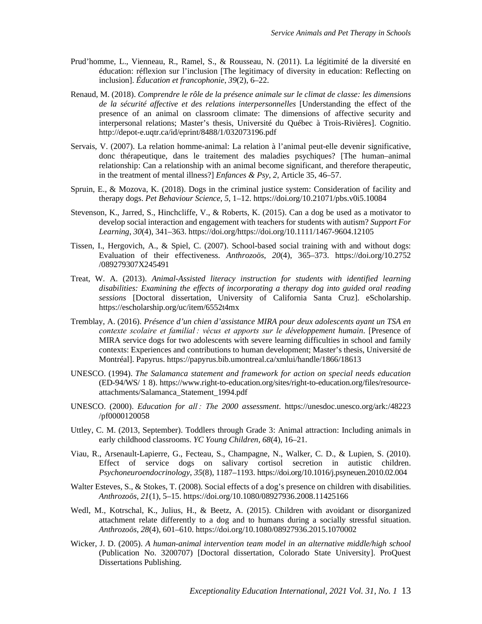- Prud'homme, L., Vienneau, R., Ramel, S., & Rousseau, N. (2011). La légitimité de la diversité en éducation: réflexion sur l'inclusion [The legitimacy of diversity in education: Reflecting on inclusion]. *Éducation et francophonie*, *39*(2), 6–22.
- Renaud, M. (2018). *Comprendre le rôle de la présence animale sur le climat de classe: les dimensions de la sécurité affective et des relations interpersonnelles* [Understanding the effect of the presence of an animal on classroom climate: The dimensions of affective security and interpersonal relations; Master's thesis, Université du Québec à Trois-Rivières]. Cognitio. http://depot-e.uqtr.ca/id/eprint/8488/1/032073196.pdf
- Servais, V. (2007). La relation homme-animal: La relation à l'animal peut-elle devenir significative, donc thérapeutique, dans le traitement des maladies psychiques? [The human–animal relationship: Can a relationship with an animal become significant, and therefore therapeutic, in the treatment of mental illness?] *Enfances & Psy*, *2*, Article 35, 46–57.
- Spruin, E., & Mozova, K. (2018). Dogs in the criminal justice system: Consideration of facility and therapy dogs. *Pet Behaviour Science*, *5*, 1–12. https://doi.org/10.21071/pbs.v0i5.10084
- Stevenson, K., Jarred, S., Hinchcliffe, V., & Roberts, K. (2015). Can a dog be used as a motivator to develop social interaction and engagement with teachers for students with autism? *Support For Learning*, *30*(4), 341–363. https://doi.org/https://doi.org/10.1111/1467-9604.12105
- Tissen, I., Hergovich, A., & Spiel, C. (2007). School-based social training with and without dogs: Evaluation of their effectiveness. *Anthrozoös*, *20*(4), 365–373. https://doi.org/10.2752 /089279307X245491
- Treat, W. A. (2013). *Animal-Assisted literacy instruction for students with identified learning disabilities: Examining the effects of incorporating a therapy dog into guided oral reading sessions* [Doctoral dissertation, University of California Santa Cruz]. eScholarship. https://escholarship.org/uc/item/6552t4mx
- Tremblay, A. (2016). *Présence d'un chien d'assistance MIRA pour deux adolescents ayant un TSA en contexte scolaire et familial : vécus et apports sur le développement humain*. [Presence of MIRA service dogs for two adolescents with severe learning difficulties in school and family contexts: Experiences and contributions to human development; Master's thesis, Université de Montréal]. Papyrus. https://papyrus.bib.umontreal.ca/xmlui/handle/1866/18613
- UNESCO. (1994). *The Salamanca statement and framework for action on special needs education* (ED-94/WS/ 1 8). https://www.right-to-education.org/sites/right-to-education.org/files/resourceattachments/Salamanca\_Statement\_1994.pdf
- UNESCO. (2000). *Education for all : The 2000 assessment*. https://unesdoc.unesco.org/ark:/48223 /pf0000120058
- Uttley, C. M. (2013, September). Toddlers through Grade 3: Animal attraction: Including animals in early childhood classrooms. *YC Young Children*, *68*(4), 16–21.
- Viau, R., Arsenault-Lapierre, G., Fecteau, S., Champagne, N., Walker, C. D., & Lupien, S. (2010). Effect of service dogs on salivary cortisol secretion in autistic children. *Psychoneuroendocrinology*, *35*(8), 1187–1193. https://doi.org/10.1016/j.psyneuen.2010.02.004
- Walter Esteves, S., & Stokes, T. (2008). Social effects of a dog's presence on children with disabilities. *Anthrozoös*, *21*(1), 5–15. https://doi.org/10.1080/08927936.2008.11425166
- Wedl, M., Kotrschal, K., Julius, H., & Beetz, A. (2015). Children with avoidant or disorganized attachment relate differently to a dog and to humans during a socially stressful situation. *Anthrozoös*, *28*(4), 601–610. https://doi.org/10.1080/08927936.2015.1070002
- Wicker, J. D. (2005). *A human-animal intervention team model in an alternative middle/high school* (Publication No. 3200707) [Doctoral dissertation, Colorado State University]. ProQuest Dissertations Publishing.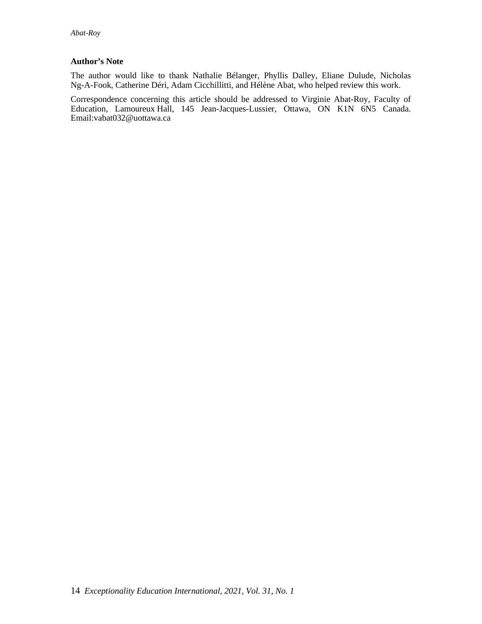### **Author's Note**

The author would like to thank Nathalie Bélanger, Phyllis Dalley, Eliane Dulude, Nicholas Ng-A-Fook, Catherine Déri, Adam Cicchillitti, and Hélène Abat, who helped review this work.

Correspondence concerning this article should be addressed to Virginie Abat-Roy, Faculty of Education, Lamoureux Hall, 145 Jean-Jacques-Lussier, Ottawa, ON K1N 6N5 Canada. Email:vabat032@uottawa.ca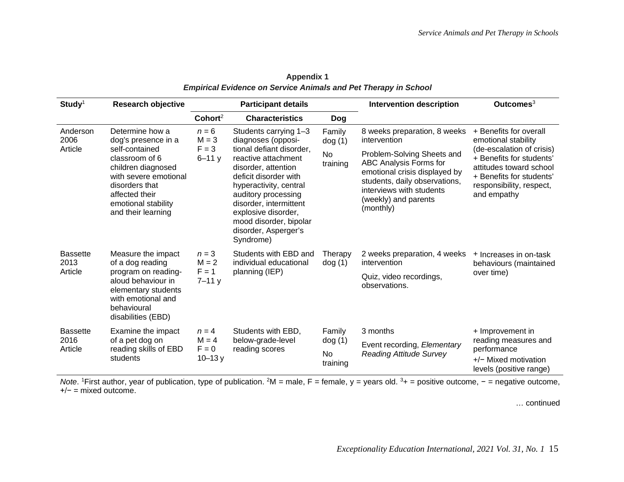| $Study1$                    | <b>Research objective</b>                                                                                                                                                                                  |                                                                                        | <b>Participant details</b>                                                                                                                                                                                                                                                                                                   |                                          | <b>Intervention description</b>                                                                                                                           | Outcomes <sup>3</sup>                                                                                                                                                                                    |
|-----------------------------|------------------------------------------------------------------------------------------------------------------------------------------------------------------------------------------------------------|----------------------------------------------------------------------------------------|------------------------------------------------------------------------------------------------------------------------------------------------------------------------------------------------------------------------------------------------------------------------------------------------------------------------------|------------------------------------------|-----------------------------------------------------------------------------------------------------------------------------------------------------------|----------------------------------------------------------------------------------------------------------------------------------------------------------------------------------------------------------|
|                             |                                                                                                                                                                                                            | Cohort <sup>2</sup>                                                                    | <b>Characteristics</b>                                                                                                                                                                                                                                                                                                       | Dog                                      |                                                                                                                                                           |                                                                                                                                                                                                          |
| Anderson<br>2006<br>Article | Determine how a<br>dog's presence in a<br>self-contained<br>classroom of 6<br>children diagnosed<br>with severe emotional<br>disorders that<br>affected their<br>emotional stability<br>and their learning | $n = 6$<br>$M = 3$<br>$F = 3$                                                          | Students carrying 1-3<br>diagnoses (opposi-<br>tional defiant disorder,<br><b>No</b><br>reactive attachment<br>disorder, attention<br>deficit disorder with<br>hyperactivity, central<br>auditory processing<br>disorder, intermittent<br>explosive disorder,<br>mood disorder, bipolar<br>disorder, Asperger's<br>Syndrome) | Family<br>dog(1)                         | 8 weeks preparation, 8 weeks<br>intervention<br>Problem-Solving Sheets and                                                                                | + Benefits for overall<br>emotional stability<br>(de-escalation of crisis)<br>+ Benefits for students'<br>attitudes toward school<br>+ Benefits for students'<br>responsibility, respect,<br>and empathy |
|                             |                                                                                                                                                                                                            | $6 - 11y$                                                                              |                                                                                                                                                                                                                                                                                                                              | training                                 | ABC Analysis Forms for<br>emotional crisis displayed by<br>students, daily observations,<br>interviews with students<br>(weekly) and parents<br>(monthly) |                                                                                                                                                                                                          |
| <b>Bassette</b><br>2013     | Measure the impact<br>of a dog reading<br>program on reading-<br>aloud behaviour in<br>elementary students<br>with emotional and<br>behavioural<br>disabilities (EBD)                                      | $n = 3$<br>$M = 2$<br>individual educational<br>$F = 1$<br>planning (IEP)<br>$7 - 11y$ | Students with EBD and                                                                                                                                                                                                                                                                                                        | Therapy<br>dog(1)                        | 2 weeks preparation, 4 weeks<br>intervention                                                                                                              | + Increases in on-task<br>behaviours (maintained                                                                                                                                                         |
| Article                     |                                                                                                                                                                                                            |                                                                                        |                                                                                                                                                                                                                                                                                                                              | Quiz, video recordings,<br>observations. | over time)                                                                                                                                                |                                                                                                                                                                                                          |
| <b>Bassette</b>             | Examine the impact                                                                                                                                                                                         | $n = 4$                                                                                | Students with EBD,                                                                                                                                                                                                                                                                                                           | Family                                   | 3 months                                                                                                                                                  | + Improvement in                                                                                                                                                                                         |
| 2016<br>Article             | of a pet dog on<br>reading skills of EBD                                                                                                                                                                   | $M = 4$<br>$F = 0$                                                                     | below-grade-level<br>reading scores                                                                                                                                                                                                                                                                                          | dog(1)                                   | Event recording, Elementary                                                                                                                               | reading measures and<br>performance                                                                                                                                                                      |
|                             | students                                                                                                                                                                                                   | $10 - 13y$                                                                             |                                                                                                                                                                                                                                                                                                                              | No<br>training                           | <b>Reading Attitude Survey</b>                                                                                                                            | $+/-$ Mixed motivation<br>levels (positive range)                                                                                                                                                        |

**Appendix 1** *Empirical Evidence on Service Animals and Pet Therapy in School*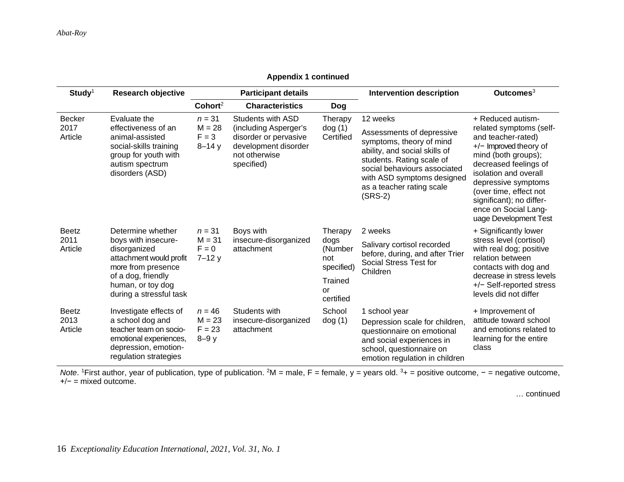| $Study1$                        | <b>Research objective</b>                                                                                                                                                       |                                              | <b>Participant details</b>                                                                                                        |                                                                               | <b>Intervention description</b>                                                                                                                                                                                                         | Outcomes <sup>3</sup>                                                                                                                                                                                                                                                                               |  |
|---------------------------------|---------------------------------------------------------------------------------------------------------------------------------------------------------------------------------|----------------------------------------------|-----------------------------------------------------------------------------------------------------------------------------------|-------------------------------------------------------------------------------|-----------------------------------------------------------------------------------------------------------------------------------------------------------------------------------------------------------------------------------------|-----------------------------------------------------------------------------------------------------------------------------------------------------------------------------------------------------------------------------------------------------------------------------------------------------|--|
|                                 |                                                                                                                                                                                 | Cohort <sup>2</sup>                          | <b>Characteristics</b>                                                                                                            | <b>Dog</b>                                                                    |                                                                                                                                                                                                                                         |                                                                                                                                                                                                                                                                                                     |  |
| Becker<br>2017<br>Article       | Evaluate the<br>effectiveness of an<br>animal-assisted<br>social-skills training<br>group for youth with<br>autism spectrum<br>disorders (ASD)                                  | $n = 31$<br>$M = 28$<br>$F = 3$<br>$8 - 14y$ | <b>Students with ASD</b><br>(including Asperger's<br>disorder or pervasive<br>development disorder<br>not otherwise<br>specified) | Therapy<br>dog(1)<br>Certified                                                | 12 weeks<br>Assessments of depressive<br>symptoms, theory of mind<br>ability, and social skills of<br>students. Rating scale of<br>social behaviours associated<br>with ASD symptoms designed<br>as a teacher rating scale<br>$(SRS-2)$ | + Reduced autism-<br>related symptoms (self-<br>and teacher-rated)<br>+/- Improved theory of<br>mind (both groups);<br>decreased feelings of<br>isolation and overall<br>depressive symptoms<br>(over time, effect not<br>significant); no differ-<br>ence on Social Lang-<br>uage Development Test |  |
| <b>Beetz</b><br>2011<br>Article | Determine whether<br>boys with insecure-<br>disorganized<br>attachment would profit<br>more from presence<br>of a dog, friendly<br>human, or toy dog<br>during a stressful task | $n = 31$<br>$M = 31$<br>$F = 0$<br>$7 - 12y$ | Boys with<br>insecure-disorganized<br>attachment                                                                                  | Therapy<br>dogs<br>(Number<br>not<br>specified)<br>Trained<br>or<br>certified | 2 weeks<br>Salivary cortisol recorded<br>before, during, and after Trier<br>Social Stress Test for<br>Children                                                                                                                          | + Significantly lower<br>stress level (cortisol)<br>with real dog; positive<br>relation between<br>contacts with dog and<br>decrease in stress levels<br>+/- Self-reported stress<br>levels did not differ                                                                                          |  |
| <b>Beetz</b><br>2013<br>Article | Investigate effects of<br>a school dog and<br>teacher team on socio-<br>emotional experiences,<br>depression, emotion-<br>regulation strategies                                 | $n = 46$<br>$M = 23$<br>$F = 23$<br>$8-9y$   | Students with<br>insecure-disorganized<br>attachment                                                                              | School<br>dog(1)                                                              | 1 school year<br>Depression scale for children,<br>questionnaire on emotional<br>and social experiences in<br>school, questionnaire on<br>emotion regulation in children                                                                | + Improvement of<br>attitude toward school<br>and emotions related to<br>learning for the entire<br>class                                                                                                                                                                                           |  |

**Appendix 1 continued**

Note. <sup>1</sup>First author, year of publication, type of publication. <sup>2</sup>M = male, F = female, y = years old. <sup>3</sup>+ = positive outcome, - = negative outcome, +/− = mixed outcome.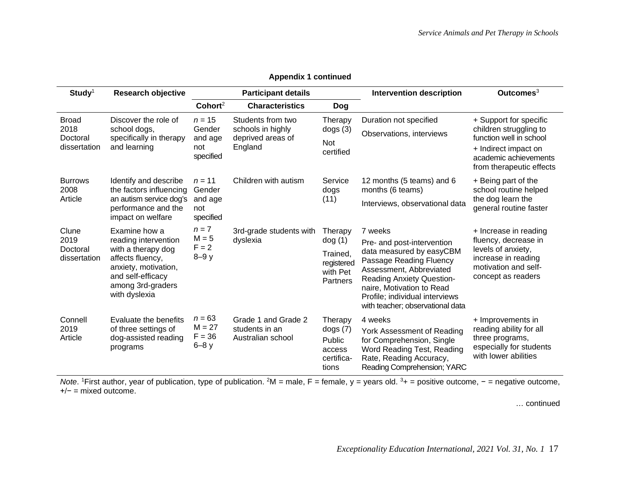| $Study1$                                         | <b>Research objective</b>                                                                                                                                          |                                                   | <b>Participant details</b>                                             |                                                                     | <b>Intervention description</b>                                                                                                                                                                                                                                | Outcomes <sup>3</sup>                                                                                                                                    |
|--------------------------------------------------|--------------------------------------------------------------------------------------------------------------------------------------------------------------------|---------------------------------------------------|------------------------------------------------------------------------|---------------------------------------------------------------------|----------------------------------------------------------------------------------------------------------------------------------------------------------------------------------------------------------------------------------------------------------------|----------------------------------------------------------------------------------------------------------------------------------------------------------|
|                                                  |                                                                                                                                                                    | Cohort <sup>2</sup>                               | <b>Characteristics</b>                                                 | <b>Dog</b>                                                          |                                                                                                                                                                                                                                                                |                                                                                                                                                          |
| <b>Broad</b><br>2018<br>Doctoral<br>dissertation | Discover the role of<br>school dogs,<br>specifically in therapy<br>and learning                                                                                    | $n = 15$<br>Gender<br>and age<br>not<br>specified | Students from two<br>schools in highly<br>deprived areas of<br>England | Therapy<br>dogs(3)<br>Not<br>certified                              | Duration not specified<br>Observations, interviews                                                                                                                                                                                                             | + Support for specific<br>children struggling to<br>function well in school<br>+ Indirect impact on<br>academic achievements<br>from therapeutic effects |
| <b>Burrows</b><br>2008<br>Article                | Identify and describe<br>the factors influencing<br>an autism service dog's<br>performance and the<br>impact on welfare                                            | $n = 11$<br>Gender<br>and age<br>not<br>specified | Children with autism                                                   | Service<br>dogs<br>(11)                                             | 12 months (5 teams) and 6<br>months (6 teams)<br>Interviews, observational data                                                                                                                                                                                | + Being part of the<br>school routine helped<br>the dog learn the<br>general routine faster                                                              |
| Clune<br>2019<br>Doctoral<br>dissertation        | Examine how a<br>reading intervention<br>with a therapy dog<br>affects fluency,<br>anxiety, motivation,<br>and self-efficacy<br>among 3rd-graders<br>with dyslexia | $n = 7$<br>$M = 5$<br>$F = 2$<br>$8-9y$           | 3rd-grade students with<br>dyslexia                                    | Therapy<br>dog(1)<br>Trained,<br>registered<br>with Pet<br>Partners | 7 weeks<br>Pre- and post-intervention<br>data measured by easyCBM<br>Passage Reading Fluency<br>Assessment, Abbreviated<br><b>Reading Anxiety Question-</b><br>naire, Motivation to Read<br>Profile; individual interviews<br>with teacher; observational data | + Increase in reading<br>fluency, decrease in<br>levels of anxiety,<br>increase in reading<br>motivation and self-<br>concept as readers                 |
| Connell<br>2019<br>Article                       | Evaluate the benefits<br>of three settings of<br>dog-assisted reading<br>programs                                                                                  | $n = 63$<br>$M = 27$<br>$F = 36$<br>$6-8y$        | Grade 1 and Grade 2<br>students in an<br>Australian school             | Therapy<br>dogs(7)<br>Public<br>access<br>certifica-<br>tions       | 4 weeks<br>York Assessment of Reading<br>for Comprehension, Single<br>Word Reading Test, Reading<br>Rate, Reading Accuracy,<br>Reading Comprehension; YARC                                                                                                     | + Improvements in<br>reading ability for all<br>three programs,<br>especially for students<br>with lower abilities                                       |

**Appendix 1 continued**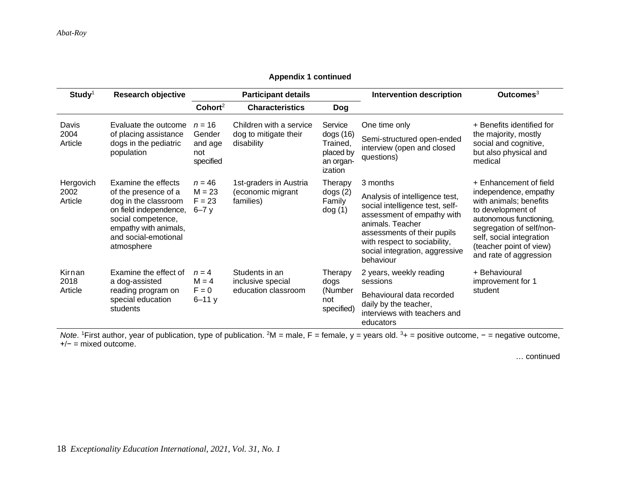|  |  | <b>Appendix 1 continued</b> |
|--|--|-----------------------------|
|--|--|-----------------------------|

| $Study1$                     | <b>Research objective</b>                                                                                                                                                          |                                                   | <b>Participant details</b>                                     |                                                                      | <b>Intervention description</b>                                                                                                                                                                                                               | Outcomes $3$                                                                                                                                                                                                                           |
|------------------------------|------------------------------------------------------------------------------------------------------------------------------------------------------------------------------------|---------------------------------------------------|----------------------------------------------------------------|----------------------------------------------------------------------|-----------------------------------------------------------------------------------------------------------------------------------------------------------------------------------------------------------------------------------------------|----------------------------------------------------------------------------------------------------------------------------------------------------------------------------------------------------------------------------------------|
|                              |                                                                                                                                                                                    | Cohort <sup>2</sup>                               | <b>Characteristics</b>                                         | <b>Dog</b>                                                           |                                                                                                                                                                                                                                               |                                                                                                                                                                                                                                        |
| Davis<br>2004<br>Article     | Evaluate the outcome<br>of placing assistance<br>dogs in the pediatric<br>population                                                                                               | $n = 16$<br>Gender<br>and age<br>not<br>specified | Children with a service<br>dog to mitigate their<br>disability | Service<br>dogs(16)<br>Trained,<br>placed by<br>an organ-<br>ization | One time only<br>Semi-structured open-ended<br>interview (open and closed<br>questions)                                                                                                                                                       | + Benefits identified for<br>the majority, mostly<br>social and cognitive,<br>but also physical and<br>medical                                                                                                                         |
| Hergovich<br>2002<br>Article | Examine the effects<br>of the presence of a<br>dog in the classroom<br>on field independence,<br>social competence,<br>empathy with animals,<br>and social-emotional<br>atmosphere | $n = 46$<br>$M = 23$<br>$F = 23$<br>$6 - 7y$      | 1st-graders in Austria<br>(economic migrant<br>families)       | Therapy<br>dogs(2)<br>Family<br>dog(1)                               | 3 months<br>Analysis of intelligence test,<br>social intelligence test, self-<br>assessment of empathy with<br>animals. Teacher<br>assessments of their pupils<br>with respect to sociability,<br>social integration, aggressive<br>behaviour | + Enhancement of field<br>independence, empathy<br>with animals; benefits<br>to development of<br>autonomous functioning,<br>segregation of self/non-<br>self, social integration<br>(teacher point of view)<br>and rate of aggression |
| Kirnan<br>2018<br>Article    | Examine the effect of<br>a dog-assisted<br>reading program on<br>special education<br>students                                                                                     | $n = 4$<br>$M = 4$<br>$F = 0$<br>$6 - 11y$        | Students in an<br>inclusive special<br>education classroom     | Therapy<br>dogs<br>(Number<br>not<br>specified)                      | 2 years, weekly reading<br>sessions<br>Behavioural data recorded<br>daily by the teacher,<br>interviews with teachers and<br>educators                                                                                                        | + Behavioural<br>improvement for 1<br>student                                                                                                                                                                                          |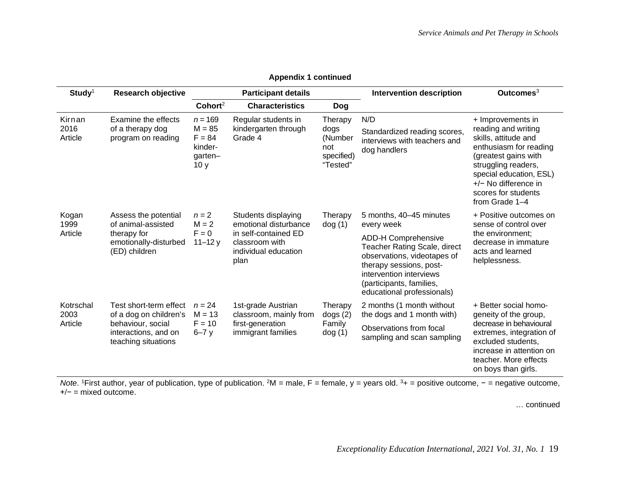| $Study1$                     | <b>Research objective</b>                                                                                            |                                                                            | <b>Participant details</b>                                                                                             |                                                             | <b>Intervention description</b>                                                                                                                                                                                                                    | Outcomes $3$                                                                                                                                                                                                                            |
|------------------------------|----------------------------------------------------------------------------------------------------------------------|----------------------------------------------------------------------------|------------------------------------------------------------------------------------------------------------------------|-------------------------------------------------------------|----------------------------------------------------------------------------------------------------------------------------------------------------------------------------------------------------------------------------------------------------|-----------------------------------------------------------------------------------------------------------------------------------------------------------------------------------------------------------------------------------------|
|                              |                                                                                                                      | Cohort <sup>2</sup>                                                        | <b>Characteristics</b>                                                                                                 | Dog                                                         |                                                                                                                                                                                                                                                    |                                                                                                                                                                                                                                         |
| Kirnan<br>2016<br>Article    | Examine the effects<br>of a therapy dog<br>program on reading                                                        | $n = 169$<br>$M = 85$<br>$F = 84$<br>kinder-<br>garten-<br>10 <sub>y</sub> | Regular students in<br>kindergarten through<br>Grade 4                                                                 | Therapy<br>dogs<br>(Number<br>not<br>specified)<br>"Tested" | N/D<br>Standardized reading scores,<br>interviews with teachers and<br>dog handlers                                                                                                                                                                | + Improvements in<br>reading and writing<br>skills, attitude and<br>enthusiasm for reading<br>(greatest gains with<br>struggling readers,<br>special education, ESL)<br>$+/-$ No difference in<br>scores for students<br>from Grade 1-4 |
| Kogan<br>1999<br>Article     | Assess the potential<br>of animal-assisted<br>therapy for<br>emotionally-disturbed<br>(ED) children                  | $n=2$<br>$M = 2$<br>$F = 0$<br>$11 - 12y$                                  | Students displaying<br>emotional disturbance<br>in self-contained ED<br>classroom with<br>individual education<br>plan | Therapy<br>dog(1)                                           | 5 months, 40-45 minutes<br>every week<br><b>ADD-H Comprehensive</b><br>Teacher Rating Scale, direct<br>observations, videotapes of<br>therapy sessions, post-<br>intervention interviews<br>(participants, families,<br>educational professionals) | + Positive outcomes on<br>sense of control over<br>the environment;<br>decrease in immature<br>acts and learned<br>helplessness.                                                                                                        |
| Kotrschal<br>2003<br>Article | Test short-term effect<br>of a dog on children's<br>behaviour, social<br>interactions, and on<br>teaching situations | $n = 24$<br>$M = 13$<br>$F = 10$<br>$6 - 7y$                               | 1st-grade Austrian<br>classroom, mainly from<br>first-generation<br>immigrant families                                 | Therapy<br>dogs(2)<br>Family<br>dog(1)                      | 2 months (1 month without<br>the dogs and 1 month with)<br>Observations from focal<br>sampling and scan sampling                                                                                                                                   | + Better social homo-<br>geneity of the group,<br>decrease in behavioural<br>extremes, integration of<br>excluded students,<br>increase in attention on<br>teacher. More effects<br>on boys than girls.                                 |

**Appendix 1 continued**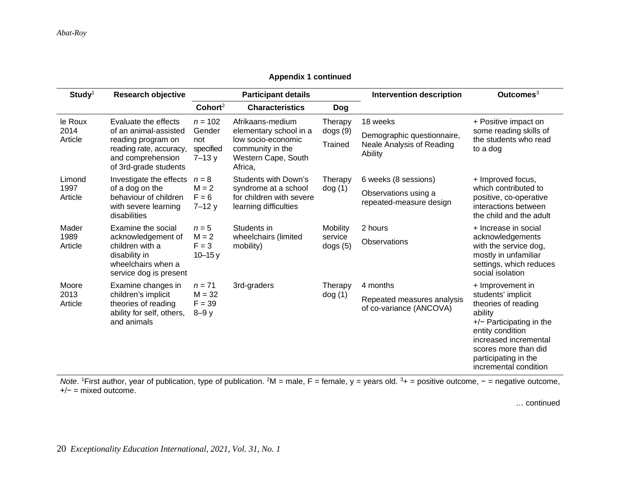# **Appendix 1 continued**

| $Study1$                   | <b>Research objective</b>                                                                                                                    |                                                      | <b>Participant details</b>                                                                                             |                                       | <b>Intervention description</b>                                                | Outcomes $3$                                                                                                                                                                                                                 |
|----------------------------|----------------------------------------------------------------------------------------------------------------------------------------------|------------------------------------------------------|------------------------------------------------------------------------------------------------------------------------|---------------------------------------|--------------------------------------------------------------------------------|------------------------------------------------------------------------------------------------------------------------------------------------------------------------------------------------------------------------------|
|                            |                                                                                                                                              | Cohort <sup>2</sup>                                  | <b>Characteristics</b>                                                                                                 | <b>Dog</b>                            |                                                                                |                                                                                                                                                                                                                              |
| le Roux<br>2014<br>Article | Evaluate the effects<br>of an animal-assisted<br>reading program on<br>reading rate, accuracy,<br>and comprehension<br>of 3rd-grade students | $n = 102$<br>Gender<br>not<br>specified<br>$7 - 13y$ | Afrikaans-medium<br>elementary school in a<br>low socio-economic<br>community in the<br>Western Cape, South<br>Africa, | Therapy<br>dogs (9)<br><b>Trained</b> | 18 weeks<br>Demographic questionnaire,<br>Neale Analysis of Reading<br>Ability | + Positive impact on<br>some reading skills of<br>the students who read<br>to a dog                                                                                                                                          |
| Limond<br>1997<br>Article  | Investigate the effects<br>of a dog on the<br>behaviour of children<br>with severe learning<br>disabilities                                  | $n = 8$<br>$M = 2$<br>$F = 6$<br>$7 - 12y$           | <b>Students with Down's</b><br>syndrome at a school<br>for children with severe<br>learning difficulties               | Therapy<br>dog(1)                     | 6 weeks (8 sessions)<br>Observations using a<br>repeated-measure design        | + Improved focus,<br>which contributed to<br>positive, co-operative<br>interactions between<br>the child and the adult                                                                                                       |
| Mader<br>1989<br>Article   | Examine the social<br>acknowledgement of<br>children with a<br>disability in<br>wheelchairs when a<br>service dog is present                 | $n=5$<br>$M = 2$<br>$F = 3$<br>$10 - 15y$            | Students in<br>wheelchairs (limited<br>mobility)                                                                       | Mobility<br>service<br>dogs(5)        | 2 hours<br>Observations                                                        | + Increase in social<br>acknowledgements<br>with the service dog,<br>mostly in unfamiliar<br>settings, which reduces<br>social isolation                                                                                     |
| Moore<br>2013<br>Article   | Examine changes in<br>children's implicit<br>theories of reading<br>ability for self, others,<br>and animals                                 | $n = 71$<br>$M = 32$<br>$F = 39$<br>$8-9y$           | 3rd-graders                                                                                                            | Therapy<br>dog(1)                     | 4 months<br>Repeated measures analysis<br>of co-variance (ANCOVA)              | + Improvement in<br>students' implicit<br>theories of reading<br>ability<br>$+/-$ Participating in the<br>entity condition<br>increased incremental<br>scores more than did<br>participating in the<br>incremental condition |

Note. <sup>1</sup>First author, year of publication, type of publication. <sup>2</sup>M = male, F = female, y = years old. <sup>3</sup>+ = positive outcome, - = negative outcome, +/− = mixed outcome.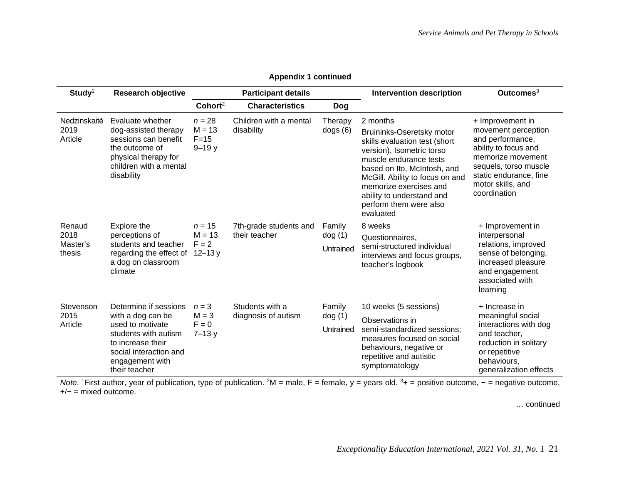| $Study1$                             | <b>Research objective</b>                                                                                                                                                 |                                               | <b>Participant details</b>              |                                | <b>Intervention description</b>                                                                                                                                                                                                                                                               | Outcomes $3$                                                                                                                                                                                     |
|--------------------------------------|---------------------------------------------------------------------------------------------------------------------------------------------------------------------------|-----------------------------------------------|-----------------------------------------|--------------------------------|-----------------------------------------------------------------------------------------------------------------------------------------------------------------------------------------------------------------------------------------------------------------------------------------------|--------------------------------------------------------------------------------------------------------------------------------------------------------------------------------------------------|
|                                      |                                                                                                                                                                           | Cohort <sup>2</sup>                           | <b>Characteristics</b>                  | <b>Dog</b>                     |                                                                                                                                                                                                                                                                                               |                                                                                                                                                                                                  |
| Nedzinskaitė<br>2019<br>Article      | Evaluate whether<br>dog-assisted therapy<br>sessions can benefit<br>the outcome of<br>physical therapy for<br>children with a mental<br>disability                        | $n = 28$<br>$M = 13$<br>$F = 15$<br>$9 - 19y$ | Children with a mental<br>disability    | Therapy<br>dogs(6)             | 2 months<br>Bruininks-Oseretsky motor<br>skills evaluation test (short<br>version), Isometric torso<br>muscle endurance tests<br>based on Ito, McIntosh, and<br>McGill. Ability to focus on and<br>memorize exercises and<br>ability to understand and<br>perform them were also<br>evaluated | + Improvement in<br>movement perception<br>and performance,<br>ability to focus and<br>memorize movement<br>sequels, torso muscle<br>static endurance, fine<br>motor skills, and<br>coordination |
| Renaud<br>2018<br>Master's<br>thesis | Explore the<br>perceptions of<br>students and teacher<br>regarding the effect of 12-13 y<br>a dog on classroom<br>climate                                                 | $n = 15$<br>$M = 13$<br>$F = 2$               | 7th-grade students and<br>their teacher | Family<br>dog (1)<br>Untrained | 8 weeks<br>Questionnaires,<br>semi-structured individual<br>interviews and focus groups,<br>teacher's logbook                                                                                                                                                                                 | + Improvement in<br>interpersonal<br>relations, improved<br>sense of belonging,<br>increased pleasure<br>and engagement<br>associated with<br>learning                                           |
| Stevenson<br>2015<br>Article         | Determine if sessions<br>with a dog can be<br>used to motivate<br>students with autism<br>to increase their<br>social interaction and<br>engagement with<br>their teacher | $n = 3$<br>$M = 3$<br>$F = 0$<br>$7 - 13y$    | Students with a<br>diagnosis of autism  | Family<br>dog (1)<br>Untrained | 10 weeks (5 sessions)<br>Observations in<br>semi-standardized sessions;<br>measures focused on social<br>behaviours, negative or<br>repetitive and autistic<br>symptomatology                                                                                                                 | + Increase in<br>meaningful social<br>interactions with dog<br>and teacher,<br>reduction in solitary<br>or repetitive<br>behaviours,<br>generalization effects                                   |

**Appendix 1 continued**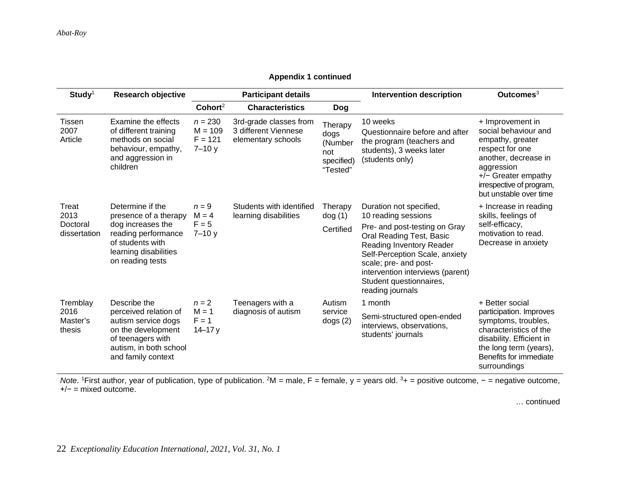# **Appendix 1 continued**

| $Study1$                                  | <b>Research objective</b>                                                                                                                              |                                                  | <b>Participant details</b>                                           |                                                             | <b>Intervention description</b>                                                                                                                                                                                                     | Outcomes <sup>3</sup>                                                                                                                                                                                |
|-------------------------------------------|--------------------------------------------------------------------------------------------------------------------------------------------------------|--------------------------------------------------|----------------------------------------------------------------------|-------------------------------------------------------------|-------------------------------------------------------------------------------------------------------------------------------------------------------------------------------------------------------------------------------------|------------------------------------------------------------------------------------------------------------------------------------------------------------------------------------------------------|
|                                           |                                                                                                                                                        | Cohort <sup>2</sup>                              | <b>Characteristics</b>                                               | <b>Dog</b>                                                  |                                                                                                                                                                                                                                     |                                                                                                                                                                                                      |
| Tissen<br>2007<br>Article                 | Examine the effects<br>of different training<br>methods on social<br>behaviour, empathy,<br>and aggression in<br>children                              | $n = 230$<br>$M = 109$<br>$F = 121$<br>$7 - 10y$ | 3rd-grade classes from<br>3 different Viennese<br>elementary schools | Therapy<br>dogs<br>(Number<br>not<br>specified)<br>"Tested" | 10 weeks<br>Questionnaire before and after<br>the program (teachers and<br>students), 3 weeks later<br>(students only)                                                                                                              | + Improvement in<br>social behaviour and<br>empathy, greater<br>respect for one<br>another, decrease in<br>aggression<br>$+/-$ Greater empathy<br>irrespective of program,<br>but unstable over time |
| Treat<br>2013<br>Doctoral<br>dissertation | Determine if the<br>presence of a therapy<br>dog increases the<br>reading performance<br>of students with<br>learning disabilities<br>on reading tests | $n = 9$<br>$M = 4$<br>$F = 5$<br>$7 - 10y$       | Students with identified<br>learning disabilities                    | Therapy<br>dog(1)                                           | Duration not specified,<br>10 reading sessions                                                                                                                                                                                      | + Increase in reading<br>skills, feelings of                                                                                                                                                         |
|                                           |                                                                                                                                                        |                                                  |                                                                      | Certified                                                   | Pre- and post-testing on Gray<br>Oral Reading Test, Basic<br>Reading Inventory Reader<br>Self-Perception Scale, anxiety<br>scale; pre- and post-<br>intervention interviews (parent)<br>Student questionnaires,<br>reading journals | self-efficacy,<br>motivation to read.<br>Decrease in anxiety                                                                                                                                         |
| Tremblay                                  | Describe the                                                                                                                                           | $n = 2$                                          | Teenagers with a                                                     | Autism                                                      | 1 month                                                                                                                                                                                                                             | + Better social                                                                                                                                                                                      |
| 2016<br>Master's<br>thesis                | perceived relation of<br>autism service dogs<br>on the development<br>of teenagers with<br>autism, in both school<br>and family context                | $M = 1$<br>$F = 1$<br>$14 - 17y$                 | diagnosis of autism                                                  | service<br>dogs(2)                                          | Semi-structured open-ended<br>interviews, observations,<br>students' journals                                                                                                                                                       | participation. Improves<br>symptoms, troubles,<br>characteristics of the<br>disability. Efficient in<br>the long term (years),<br>Benefits for immediate<br>surroundings                             |

Note. <sup>1</sup>First author, year of publication, type of publication. <sup>2</sup>M = male, F = female, y = years old. <sup>3</sup>+ = positive outcome, - = negative outcome, +/− = mixed outcome.